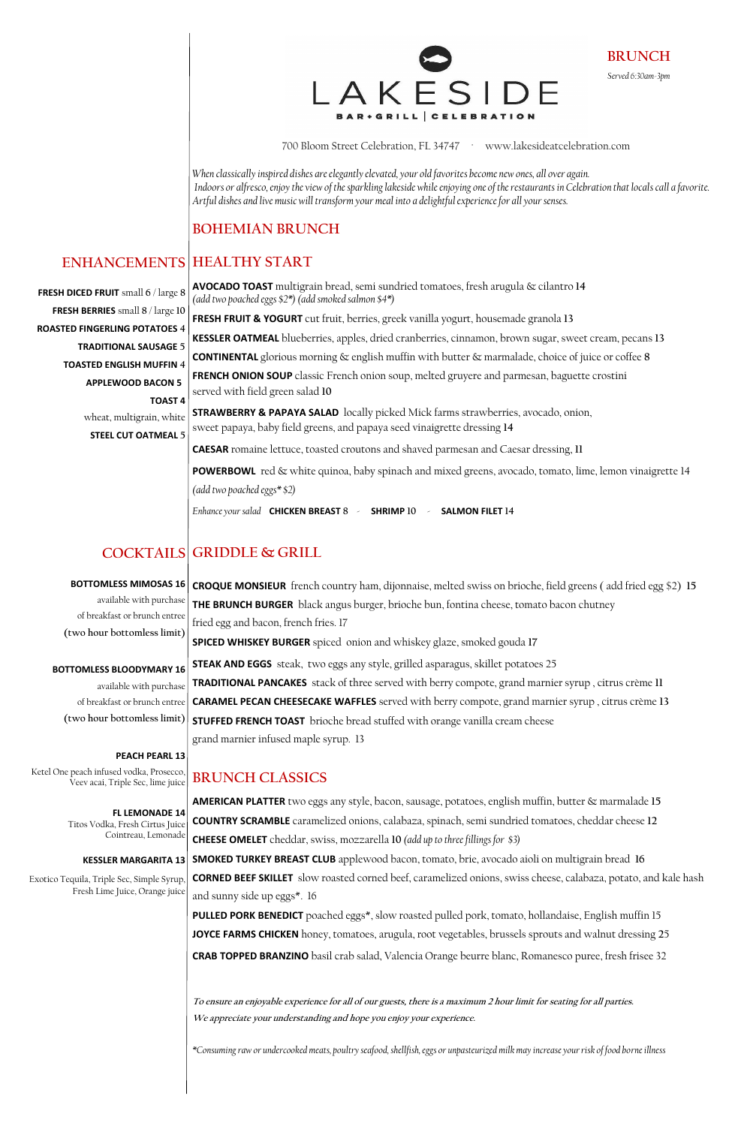700 Bloom Street Celebration, FL 34747 · www.lakesideatcelebration.com

*When classically inspired dishes are elegantly elevated, your old favorites become new ones, all over again. Indoors or alfresco, enjoy the view of the sparkling lakeside while enjoying one of the restaurants in Celebration that locals call a favorite. Artful dishes and live music will transform your meal into a delightful experience for all your senses.*

#### **BOHEMIAN BRUNCH**

**AVOCADO TOAST** multigrain bread, semi sundried tomatoes, fresh arugula & cilantro **14**  *(add two poached eggs \$2\*) (add smoked salmon \$4\*)* **FRESH FRUIT & YOGURT** cut fruit, berries, greek vanilla yogurt, housemade granola **13 KESSLER OATMEAL** blueberries, apples, dried cranberries, cinnamon, brown sugar, sweet cream, pecans **13 CONTINENTAL** glorious morning & english muffin with butter & marmalade, choice of juice or coffee **8 FRENCH ONION SOUP** classic French onion soup, melted gruyere and parmesan, baguette crostini served with field green salad **10 STRAWBERRY & PAPAYA SALAD** locally picked Mick farms strawberries, avocado, onion, sweet papaya, baby field greens, and papaya seed vinaigrette dressing **14 CAESAR** romaine lettuce, toasted croutons and shaved parmesan and Caesar dressing, **11 POWERBOWL** red & white quinoa, baby spinach and mixed greens, avocado, tomato, lime, lemon vinaigrette 14 *(add two poached eggs\* \$2)* 

*Enhance your salad* **CHICKEN BREAST 8** - **SHRIMP 10** - **SALMON FILET 14**

**CROQUE MONSIEUR** french country ham, dijonnaise, melted swiss on brioche, field greens ( add fried egg \$2) **15 THE BRUNCH BURGER** black angus burger, brioche bun, fontina cheese, tomato bacon chutney fried egg and bacon, french fries. 17 **SPICED WHISKEY BURGER** spiced onion and whiskey glaze, smoked gouda **17** 

## **HEALTHY START ENHANCEMENTS**

**STEAK AND EGGS** steak, two eggs any style, grilled asparagus, skillet potatoes 25 **TRADITIONAL PANCAKES** stack of three served with berry compote, grand marnier syrup , citrus crème **11 CARAMEL PECAN CHEESECAKE WAFFLES** served with berry compote, grand marnier syrup , citrus crème **13 STUFFED FRENCH TOAST** brioche bread stuffed with orange vanilla cream cheese grand marnier infused maple syrup. 13

#### **BRUNCH CLASSICS**

**AMERICAN PLATTER** two eggs any style, bacon, sausage, potatoes, english muffin, butter & marmalade **15 COUNTRY SCRAMBLE** caramelized onions, calabaza, spinach, semi sundried tomatoes, cheddar cheese **12**

**CHEESE OMELET** cheddar, swiss, mozzarella **10** *(add up to three fillings for \$3)*

# **GRIDDLE & GRILL COCKTAILS**

**CORNED BEEF SKILLET** slow roasted corned beef, caramelized onions, swiss cheese, calabaza, potato, and kale hash and sunny side up eggs\*. 16

**PULLED PORK BENEDICT** poached eggs\*, slow roasted pulled pork, tomato, hollandaise, English muffin 15 **JOYCE FARMS CHICKEN** honey, tomatoes, arugula, root vegetables, brussels sprouts and walnut dressing **2**5 **CRAB TOPPED BRANZINO** basil crab salad, Valencia Orange beurre blanc, Romanesco puree, fresh frisee 32

**To ensure an enjoyable experience for all of our guests, there is a maximum 2 hour limit for seating for all parties. We appreciate your understanding and hope you enjoy your experience.**

**SMOKED TURKEY BREAST CLUB** applewood bacon, tomato, brie, avocado aioli on multigrain bread **16 KESSLER MARGARITA 13**

*\*Consuming raw or undercooked meats, poultry seafood, shellfish, eggs or unpasteurized milk may increase your risk of food borneillness* 

**BRUNCH** *Served 6:30am-3pm* 



**FRESH DICED FRUIT** small **6** / large **8 FRESH BERRIES** small **8** / large **10 ROASTED FINGERLING POTATOES 4 TRADITIONAL SAUSAGE 5 TOASTED ENGLISH MUFFIN 4 APPLEWOOD BACON 5 TOAST 4** wheat, multigrain, white **STEEL CUT OATMEAL 5**

#### **BOTTOMLESS MIMOSAS 16**

available with purchase of breakfast or brunch entree **(two hour bottomless limit)**

#### **BOTTOMLESS BLOODYMARY 16**

available with purchase of breakfast or brunch entree **(two hour bottomless limit)**

#### **PEACH PEARL 13**

Ketel One peach infused vodka, Prosecco, Veev acai, Triple Sec, lime juice

> **FL LEMONADE 14**  Titos Vodka, Fresh Cirtus Juice

#### Cointreau, Lemonade

Exotico Tequila, Triple Sec, Simple Syrup, Fresh Lime Juice, Orange juice